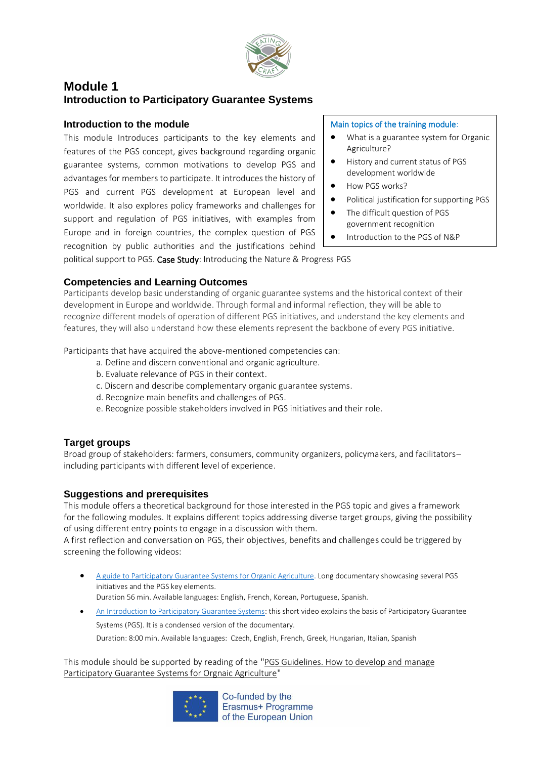

# **Module 1 Introduction to Participatory Guarantee Systems**

### **Introduction to the module**

This module Introduces participants to the key elements and features of the PGS concept, gives background regarding organic guarantee systems, common motivations to develop PGS and advantages for members to participate. It introduces the history of PGS and current PGS development at European level and worldwide. It also explores policy frameworks and challenges for support and regulation of PGS initiatives, with examples from Europe and in foreign countries, the complex question of PGS recognition by public authorities and the justifications behind

#### Main topics of the training module:

- What is a guarantee system for Organic Agriculture?
- History and current status of PGS development worldwide
- How PGS works?
- Political justification for supporting PGS
- The difficult question of PGS government recognition
- Introduction to the PGS of N&P

political support to PGS. Case Study: Introducing the Nature & Progress PGS

### **Competencies and Learning Outcomes**

Participants develop basic understanding of organic guarantee systems and the historical context of their development in Europe and worldwide. Through formal and informal reflection, they will be able to recognize different models of operation of different PGS initiatives, and understand the key elements and features, they will also understand how these elements represent the backbone of every PGS initiative.

Participants that have acquired the above-mentioned competencies can:

- a. Define and discern conventional and organic agriculture.
- b. Evaluate relevance of PGS in their context.
- c. Discern and describe complementary organic guarantee systems.
- d. Recognize main benefits and challenges of PGS.
- e. Recognize possible stakeholders involved in PGS initiatives and their role.

#### **Target groups**

Broad group of stakeholders: farmers, consumers, community organizers, policymakers, and facilitators– including participants with different level of experience.

#### **Suggestions and prerequisites**

This module offers a theoretical background for those interested in the PGS topic and gives a framework for the following modules. It explains different topics addressing diverse target groups, giving the possibility of using different entry points to engage in a discussion with them.

A first reflection and conversation on PGS, their objectives, benefits and challenges could be triggered by screening the following videos:

- [A guide to Participatory Guarantee Systems for Organic Agriculture.](https://www.youtube.com/watch?v=GbwiCwhlAEs) Long documentary showcasing several PGS initiatives and the PGS key elements. Duration 56 min. Available languages: English, French, Korean, Portuguese, Spanish.
- [An Introduction to Participatory Guarantee Systems:](https://www.youtube.com/watch?v=vb1hfRswKMg) this short video explains the basis of Participatory Guarantee

Systems (PGS). It is a condensed version of the documentary.

Duration: 8:00 min. Available languages: Czech, English, French, Greek, Hungarian, Italian, Spanish

This module should be supported by reading of the ["PGS Guidelines. How to develop and](https://www.ifoam.bio/sites/default/files/pgs_guidelines_en.pdf) [manage](https://www.ifoam.bio/sites/default/files/pgs_guidelines_en.pdf)  [Participatory Guarantee Systems for Orgnaic Agriculture"](https://www.ifoam.bio/sites/default/files/pgs_guidelines_en.pdf)



Co-funded by the Erasmus+ Programme of the European Union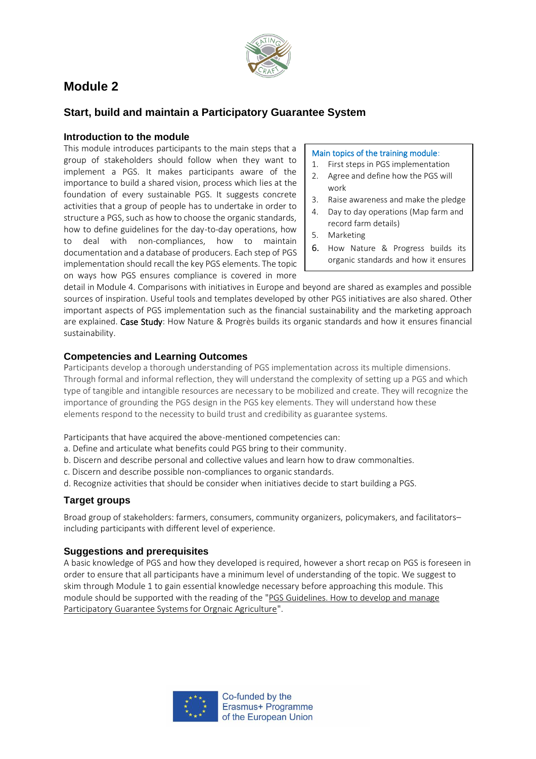

# **Module 2**

# **Start, build and maintain a Participatory Guarantee System**

### **Introduction to the module**

This module introduces participants to the main steps that a group of stakeholders should follow when they want to implement a PGS. It makes participants aware of the importance to build a shared vision, process which lies at the foundation of every sustainable PGS. It suggests concrete activities that a group of people has to undertake in order to structure a PGS, such as how to choose the organic standards, how to define guidelines for the day-to-day operations, how to deal with non-compliances, how to maintain documentation and a database of producers. Each step of PGS implementation should recall the key PGS elements. The topic on ways how PGS ensures compliance is covered in more

#### Main topics of the training module:

- 1. First steps in PGS implementation
- 2. Agree and define how the PGS will work
- 3. Raise awareness and make the pledge
- 4. Day to day operations (Map farm and record farm details)
- 5. Marketing
- 6. How Nature & Progress builds its organic standards and how it ensures

financial sustainability.

detail in Module 4. Comparisons with initiatives in Europe and beyond are shared as examples and possible sources of inspiration. Useful tools and templates developed by other PGS initiatives are also shared. Other important aspects of PGS implementation such as the financial sustainability and the marketing approach are explained. Case Study: How Nature & Progrès builds its organic standards and how it ensures financial sustainability.

## **Competencies and Learning Outcomes**

Participants develop a thorough understanding of PGS implementation across its multiple dimensions. Through formal and informal reflection, they will understand the complexity of setting up a PGS and which type of tangible and intangible resources are necessary to be mobilized and create. They will recognize the importance of grounding the PGS design in the PGS key elements. They will understand how these elements respond to the necessity to build trust and credibility as guarantee systems.

Participants that have acquired the above-mentioned competencies can:

- a. Define and articulate what benefits could PGS bring to their community.
- b. Discern and describe personal and collective values and learn how to draw commonalties.
- c. Discern and describe possible non-compliances to organic standards.
- d. Recognize activities that should be consider when initiatives decide to start building a PGS.

### **Target groups**

Broad group of stakeholders: farmers, consumers, community organizers, policymakers, and facilitators– including participants with different level of experience.

### **Suggestions and prerequisites**

A basic knowledge of PGS and how they developed is required, however a short recap on PGS is foreseen in order to ensure that all participants have a minimum level of understanding of the topic. We suggest to skim through Module 1 to gain essential knowledge necessary before approaching this module. This module should be supported with the reading of the ["PGS Guidelines. How to develop and](https://www.ifoam.bio/sites/default/files/pgs_guidelines_en.pdf) [manage](https://www.ifoam.bio/sites/default/files/pgs_guidelines_en.pdf)  [Participatory Guarantee Systems for Orgnaic Agriculture"](https://www.ifoam.bio/sites/default/files/pgs_guidelines_en.pdf).

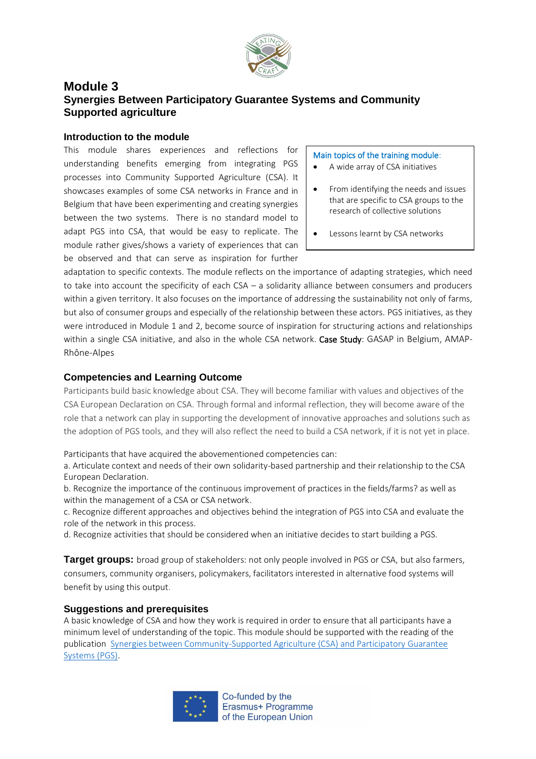

# **Module 3 Synergies Between Participatory Guarantee Systems and Community Supported agriculture**

### **Introduction to the module**

This module shares experiences and reflections for understanding benefits emerging from integrating PGS processes into Community Supported Agriculture (CSA). It showcases examples of some CSA networks in France and in Belgium that have been experimenting and creating synergies between the two systems. There is no standard model to adapt PGS into CSA, that would be easy to replicate. The module rather gives/shows a variety of experiences that can be observed and that can serve as inspiration for further

#### Main topics of the training module:

- A wide array of CSA initiatives
- From identifying the needs and issues that are specific to CSA groups to the research of collective solutions
- Lessons learnt by CSA networks

adaptation to specific contexts. The module reflects on the importance of adapting strategies, which need to take into account the specificity of each CSA – a solidarity alliance between consumers and producers within a given territory. It also focuses on the importance of addressing the sustainability not only of farms, but also of consumer groups and especially of the relationship between these actors. PGS initiatives, as they were introduced in Module 1 and 2, become source of inspiration for structuring actions and relationships within a single CSA initiative, and also in the whole CSA network. Case Study: GASAP in Belgium, AMAP-Rhône-Alpes

### **Competencies and Learning Outcome**

Participants build basic knowledge about CSA. They will become familiar with values and objectives of the CSA European Declaration on CSA. Through formal and informal reflection, they will become aware of the role that a network can play in supporting the development of innovative approaches and solutions such as the adoption of PGS tools, and they will also reflect the need to build a CSA network, if it is not yet in place.

Participants that have acquired the abovementioned competencies can:

a. Articulate context and needs of their own solidarity-based partnership and their relationship to the CSA European Declaration.

b. Recognize the importance of the continuous improvement of practices in the fields/farms? as well as within the management of a CSA or CSA network.

c. Recognize different approaches and objectives behind the integration of PGS into CSA and evaluate the role of the network in this process.

d. Recognize activities that should be considered when an initiative decides to start building a PGS.

**Target groups:** broad group of stakeholders: not only people involved in PGS or CSA, but also farmers, consumers, community organisers, policymakers, facilitators interested in alternative food systems will benefit by using this output.

### **Suggestions and prerequisites**

A basic knowledge of CSA and how they work is required in order to ensure that all participants have a minimum level of understanding of the topic. This module should be supported with the reading of the publication [Synergies between Community-Supported Agriculture \(CSA\) and Participatory Guarantee](https://www.ifoam.bio/sites/default/files/asc_spg_en_web.pdf)  [Systems \(PGS\).](https://www.ifoam.bio/sites/default/files/asc_spg_en_web.pdf)



Co-funded by the Erasmus+ Programme of the European Union